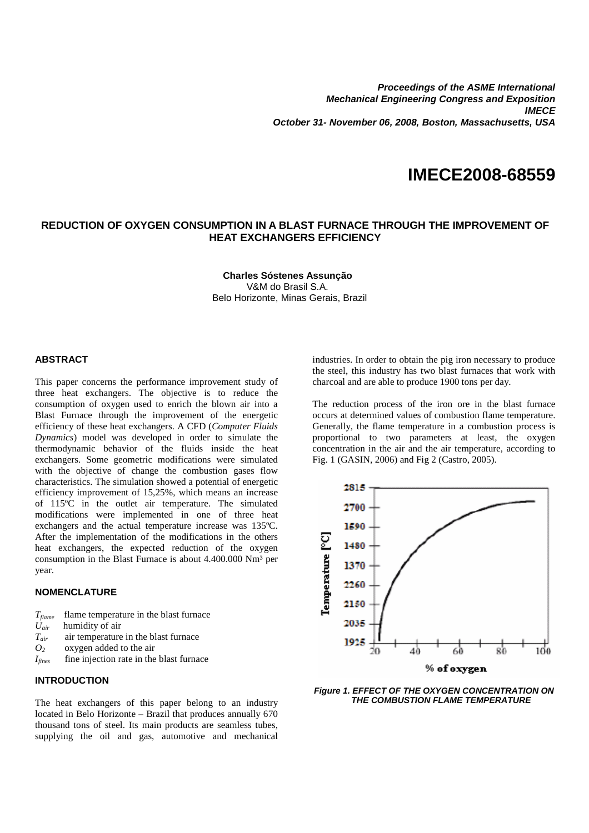**Proceedings of the ASME International Mechanical Engineering Congress and Exposition IMECE October 31- November 06, 2008, Boston, Massachusetts, USA** 

# **IMECE2008-68559**

# **REDUCTION OF OXYGEN CONSUMPTION IN A BLAST FURNACE THROUGH THE IMPROVEMENT OF HEAT EXCHANGERS EFFICIENCY**

**Charles Sóstenes Assunção**  V&M do Brasil S.A. Belo Horizonte, Minas Gerais, Brazil

#### **ABSTRACT**

This paper concerns the performance improvement study of three heat exchangers. The objective is to reduce the consumption of oxygen used to enrich the blown air into a Blast Furnace through the improvement of the energetic efficiency of these heat exchangers. A CFD (*Computer Fluids Dynamics*) model was developed in order to simulate the thermodynamic behavior of the fluids inside the heat exchangers. Some geometric modifications were simulated with the objective of change the combustion gases flow characteristics. The simulation showed a potential of energetic efficiency improvement of 15,25%, which means an increase of 115ºC in the outlet air temperature. The simulated modifications were implemented in one of three heat exchangers and the actual temperature increase was 135ºC. After the implementation of the modifications in the others heat exchangers, the expected reduction of the oxygen consumption in the Blast Furnace is about 4.400.000 Nm<sup>3</sup> per year.

## **NOMENCLATURE**

- *Tflame* flame temperature in the blast furnace
- 
- $\dot{U}_{air}$  humidity of air<br> $T_{air}$  air temperature  $T_{air}$  air temperature in the blast furnace<br> $Q_2$  oxygen added to the air
- *O2* oxygen added to the air
- *Ifines* fine injection rate in the blast furnace

## **INTRODUCTION**

The heat exchangers of this paper belong to an industry located in Belo Horizonte – Brazil that produces annually 670 thousand tons of steel. Its main products are seamless tubes, supplying the oil and gas, automotive and mechanical

industries. In order to obtain the pig iron necessary to produce the steel, this industry has two blast furnaces that work with charcoal and are able to produce 1900 tons per day.

The reduction process of the iron ore in the blast furnace occurs at determined values of combustion flame temperature. Generally, the flame temperature in a combustion process is proportional to two parameters at least, the oxygen concentration in the air and the air temperature, according to Fig. 1 (GASIN, 2006) and Fig 2 (Castro, 2005).



**Figure 1. EFFECT OF THE OXYGEN CONCENTRATION ON THE COMBUSTION FLAME TEMPERATURE**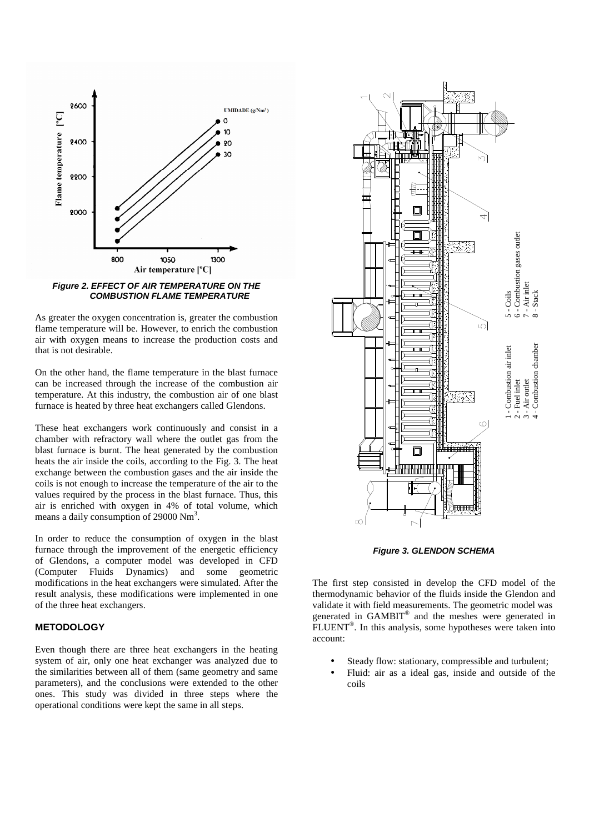



As greater the oxygen concentration is, greater the combustion flame temperature will be. However, to enrich the combustion air with oxygen means to increase the production costs and that is not desirable.

On the other hand, the flame temperature in the blast furnace can be increased through the increase of the combustion air temperature. At this industry, the combustion air of one blast furnace is heated by three heat exchangers called Glendons.

These heat exchangers work continuously and consist in a chamber with refractory wall where the outlet gas from the blast furnace is burnt. The heat generated by the combustion heats the air inside the coils, according to the Fig. 3. The heat exchange between the combustion gases and the air inside the coils is not enough to increase the temperature of the air to the values required by the process in the blast furnace. Thus, this air is enriched with oxygen in 4% of total volume, which means a daily consumption of 29000 Nm<sup>3</sup>.

In order to reduce the consumption of oxygen in the blast furnace through the improvement of the energetic efficiency of Glendons, a computer model was developed in CFD (Computer Fluids Dynamics) and some modifications in the heat exchangers were simulated. After the result analysis, these modifications were implemented in one of the three heat exchangers.

#### **METODOLOGY**

Even though there are three heat exchangers in the heating system of air, only one heat exchanger was analyzed due to the similarities between all of them (same geometry and same parameters), and the conclusions were extended to the other ones. This study was divided in three steps where the operational conditions were kept the same in all steps.



**Figure 3. GLENDON SCHEMA** 

The first step consisted in develop the CFD model of the thermodynamic behavior of the fluids inside the Glendon and validate it with field measurements. The geometric model was generated in GAMBIT® and the meshes were generated in FLUENT®. In this analysis, some hypotheses were taken into account:

- Steady flow: stationary, compressible and turbulent;
- Fluid: air as a ideal gas, inside and outside of the coils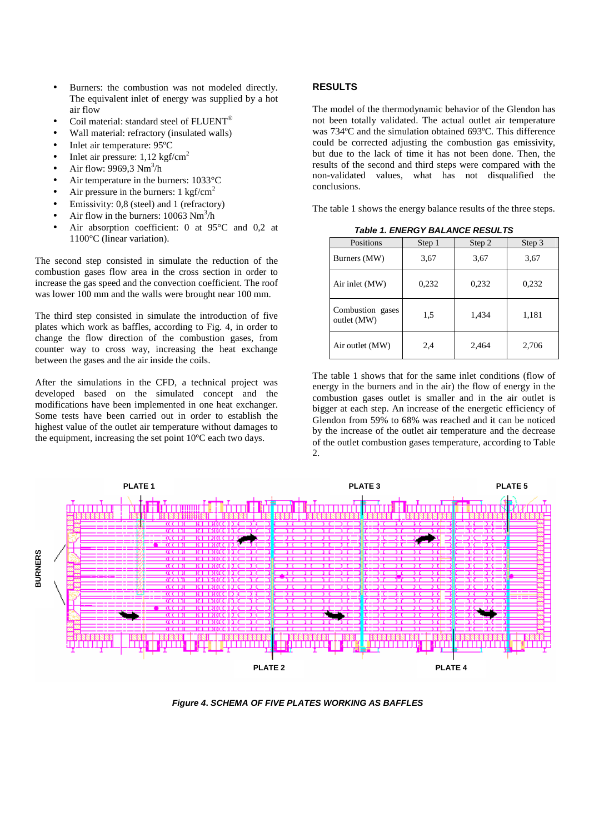- Burners: the combustion was not modeled directly. The equivalent inlet of energy was supplied by a hot air flow
- Coil material: standard steel of FLUENT<sup>®</sup>
- Wall material: refractory (insulated walls)
- Inlet air temperature: 95ºC
- Inlet air pressure:  $1,12$  kgf/cm<sup>2</sup>
- Air flow: 9969,3  $Nm^3/h$
- Air temperature in the burners:  $1033^{\circ}$ C
- Air pressure in the burners:  $1 \text{ kgf/cm}^2$
- Emissivity: 0,8 (steel) and 1 (refractory)
- Air flow in the burners:  $10063 \text{ Nm}^3/\text{h}$
- Air absorption coefficient: 0 at 95°C and 0,2 at 1100°C (linear variation).

The second step consisted in simulate the reduction of the combustion gases flow area in the cross section in order to increase the gas speed and the convection coefficient. The roof was lower 100 mm and the walls were brought near 100 mm.

The third step consisted in simulate the introduction of five plates which work as baffles, according to Fig. 4, in order to change the flow direction of the combustion gases, from counter way to cross way, increasing the heat exchange between the gases and the air inside the coils.

After the simulations in the CFD, a technical project was developed based on the simulated concept and the modifications have been implemented in one heat exchanger. Some tests have been carried out in order to establish the highest value of the outlet air temperature without damages to the equipment, increasing the set point 10ºC each two days.

## **RESULTS**

The model of the thermodynamic behavior of the Glendon has not been totally validated. The actual outlet air temperature was 734ºC and the simulation obtained 693ºC. This difference could be corrected adjusting the combustion gas emissivity, but due to the lack of time it has not been done. Then, the results of the second and third steps were compared with the non-validated values, what has not disqualified the conclusions.

The table 1 shows the energy balance results of the three steps.

| Positions                       | Step 1 | Step 2 | Step 3 |
|---------------------------------|--------|--------|--------|
| Burners (MW)                    | 3,67   | 3,67   | 3,67   |
| Air inlet (MW)                  | 0,232  | 0,232  | 0,232  |
| Combustion gases<br>outlet (MW) | 1,5    | 1,434  | 1,181  |
| Air outlet (MW)                 | 2,4    | 2,464  | 2,706  |

**Table 1. ENERGY BALANCE RESULTS** 

The table 1 shows that for the same inlet conditions (flow of energy in the burners and in the air) the flow of energy in the combustion gases outlet is smaller and in the air outlet is bigger at each step. An increase of the energetic efficiency of Glendon from 59% to 68% was reached and it can be noticed by the increase of the outlet air temperature and the decrease of the outlet combustion gases temperature, according to Table 2.



**Figure 4. SCHEMA OF FIVE PLATES WORKING AS BAFFLES**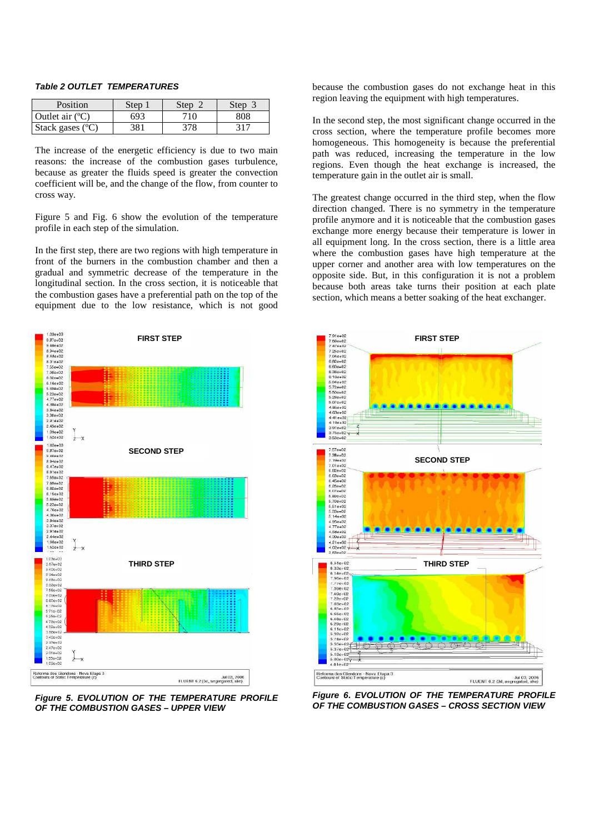| Position                  | <b>Step</b> | <b>Step</b> | Step   |
|---------------------------|-------------|-------------|--------|
| Outlet air $(^{\circ}C)$  | 693         | 710-        | 808    |
| Stack gases $(^{\circ}C)$ | 381         | 378         | $21 -$ |

The increase of the energetic efficiency is due to two main reasons: the increase of the combustion gases turbulence, because as greater the fluids speed is greater the convection coefficient will be, and the change of the flow, from counter to cross way.

Figure 5 and Fig. 6 show the evolution of the temperature profile in each step of the simulation.

In the first step, there are two regions with high temperature in front of the burners in the combustion chamber and then a gradual and symmetric decrease of the temperature in the longitudinal section. In the cross section, it is noticeable that the combustion gases have a preferential path on the top of the equipment due to the low resistance, which is not good



**Figure 5. EVOLUTION OF THE TEMPERATURE PROFILE OF THE COMBUSTION GASES – UPPER VIEW** 

because the combustion gases do not exchange heat in this region leaving the equipment with high temperatures.

In the second step, the most significant change occurred in the cross section, where the temperature profile becomes more homogeneous. This homogeneity is because the preferential path was reduced, increasing the temperature in the low regions. Even though the heat exchange is increased, the temperature gain in the outlet air is small.

The greatest change occurred in the third step, when the flow direction changed. There is no symmetry in the temperature profile anymore and it is noticeable that the combustion gases exchange more energy because their temperature is lower in all equipment long. In the cross section, there is a little area where the combustion gases have high temperature at the upper corner and another area with low temperatures on the opposite side. But, in this configuration it is not a problem because both areas take turns their position at each plate section, which means a better soaking of the heat exchanger.



**Figure 6. EVOLUTION OF THE TEMPERATURE PROFILE OF THE COMBUSTION GASES – CROSS SECTION VIEW** 

#### **Table 2 OUTLET TEMPERATURES**